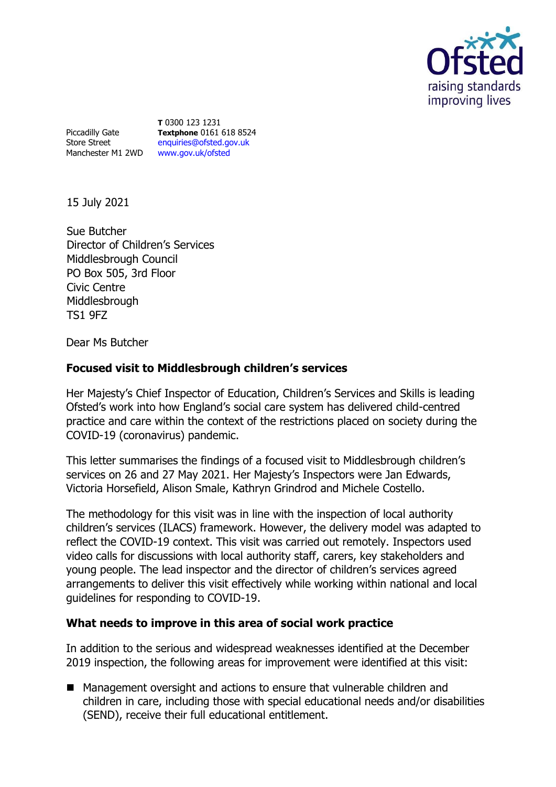

Piccadilly Gate Store Street Manchester M1 2WD [www.gov.uk/ofsted](http://www.gov.uk/ofsted)

**T** 0300 123 1231 **Textphone** 0161 618 8524 [enquiries@ofsted.gov.uk](mailto:enquiries@ofsted.gov.uk)

15 July 2021

Sue Butcher Director of Children's Services Middlesbrough Council PO Box 505, 3rd Floor Civic Centre Middlesbrough TS1 9FZ

Dear Ms Butcher

## **Focused visit to Middlesbrough children's services**

Her Majesty's Chief Inspector of Education, Children's Services and Skills is leading Ofsted's work into how England's social care system has delivered child-centred practice and care within the context of the restrictions placed on society during the COVID-19 (coronavirus) pandemic.

This letter summarises the findings of a focused visit to Middlesbrough children's services on 26 and 27 May 2021. Her Majesty's Inspectors were Jan Edwards, Victoria Horsefield, Alison Smale, Kathryn Grindrod and Michele Costello.

The methodology for this visit was in line with the inspection of local authority children's services (ILACS) framework. However, the delivery model was adapted to reflect the COVID-19 context. This visit was carried out remotely. Inspectors used video calls for discussions with local authority staff, carers, key stakeholders and young people. The lead inspector and the director of children's services agreed arrangements to deliver this visit effectively while working within national and local guidelines for responding to COVID-19.

## **What needs to improve in this area of social work practice**

In addition to the serious and widespread weaknesses identified at the December 2019 inspection, the following areas for improvement were identified at this visit:

■ Management oversight and actions to ensure that vulnerable children and children in care, including those with special educational needs and/or disabilities (SEND), receive their full educational entitlement.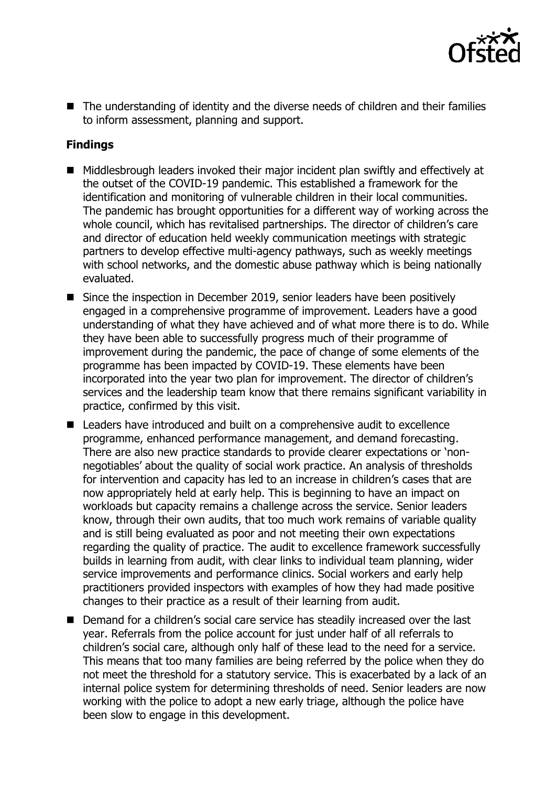

■ The understanding of identity and the diverse needs of children and their families to inform assessment, planning and support.

## **Findings**

- Middlesbrough leaders invoked their major incident plan swiftly and effectively at the outset of the COVID-19 pandemic. This established a framework for the identification and monitoring of vulnerable children in their local communities. The pandemic has brought opportunities for a different way of working across the whole council, which has revitalised partnerships. The director of children's care and director of education held weekly communication meetings with strategic partners to develop effective multi-agency pathways, such as weekly meetings with school networks, and the domestic abuse pathway which is being nationally evaluated.
- Since the inspection in December 2019, senior leaders have been positively engaged in a comprehensive programme of improvement. Leaders have a good understanding of what they have achieved and of what more there is to do. While they have been able to successfully progress much of their programme of improvement during the pandemic, the pace of change of some elements of the programme has been impacted by COVID-19. These elements have been incorporated into the year two plan for improvement. The director of children's services and the leadership team know that there remains significant variability in practice, confirmed by this visit.
- Leaders have introduced and built on a comprehensive audit to excellence programme, enhanced performance management, and demand forecasting. There are also new practice standards to provide clearer expectations or 'nonnegotiables' about the quality of social work practice. An analysis of thresholds for intervention and capacity has led to an increase in children's cases that are now appropriately held at early help. This is beginning to have an impact on workloads but capacity remains a challenge across the service. Senior leaders know, through their own audits, that too much work remains of variable quality and is still being evaluated as poor and not meeting their own expectations regarding the quality of practice. The audit to excellence framework successfully builds in learning from audit, with clear links to individual team planning, wider service improvements and performance clinics. Social workers and early help practitioners provided inspectors with examples of how they had made positive changes to their practice as a result of their learning from audit.
- Demand for a children's social care service has steadily increased over the last year. Referrals from the police account for just under half of all referrals to children's social care, although only half of these lead to the need for a service. This means that too many families are being referred by the police when they do not meet the threshold for a statutory service. This is exacerbated by a lack of an internal police system for determining thresholds of need. Senior leaders are now working with the police to adopt a new early triage, although the police have been slow to engage in this development.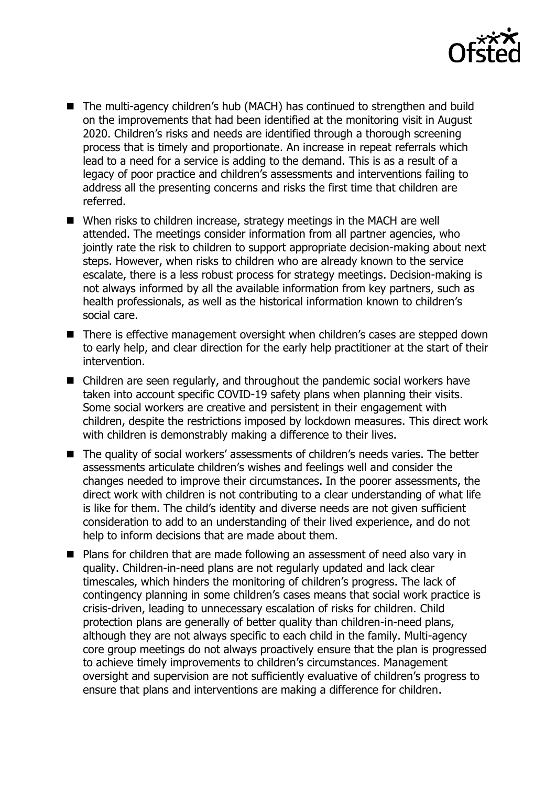

- The multi-agency children's hub (MACH) has continued to strengthen and build on the improvements that had been identified at the monitoring visit in August 2020. Children's risks and needs are identified through a thorough screening process that is timely and proportionate. An increase in repeat referrals which lead to a need for a service is adding to the demand. This is as a result of a legacy of poor practice and children's assessments and interventions failing to address all the presenting concerns and risks the first time that children are referred.
- When risks to children increase, strategy meetings in the MACH are well attended. The meetings consider information from all partner agencies, who jointly rate the risk to children to support appropriate decision-making about next steps. However, when risks to children who are already known to the service escalate, there is a less robust process for strategy meetings. Decision-making is not always informed by all the available information from key partners, such as health professionals, as well as the historical information known to children's social care.
- There is effective management oversight when children's cases are stepped down to early help, and clear direction for the early help practitioner at the start of their intervention.
- Children are seen regularly, and throughout the pandemic social workers have taken into account specific COVID-19 safety plans when planning their visits. Some social workers are creative and persistent in their engagement with children, despite the restrictions imposed by lockdown measures. This direct work with children is demonstrably making a difference to their lives.
- The quality of social workers' assessments of children's needs varies. The better assessments articulate children's wishes and feelings well and consider the changes needed to improve their circumstances. In the poorer assessments, the direct work with children is not contributing to a clear understanding of what life is like for them. The child's identity and diverse needs are not given sufficient consideration to add to an understanding of their lived experience, and do not help to inform decisions that are made about them.
- Plans for children that are made following an assessment of need also vary in quality. Children-in-need plans are not regularly updated and lack clear timescales, which hinders the monitoring of children's progress. The lack of contingency planning in some children's cases means that social work practice is crisis-driven, leading to unnecessary escalation of risks for children. Child protection plans are generally of better quality than children-in-need plans, although they are not always specific to each child in the family. Multi-agency core group meetings do not always proactively ensure that the plan is progressed to achieve timely improvements to children's circumstances. Management oversight and supervision are not sufficiently evaluative of children's progress to ensure that plans and interventions are making a difference for children.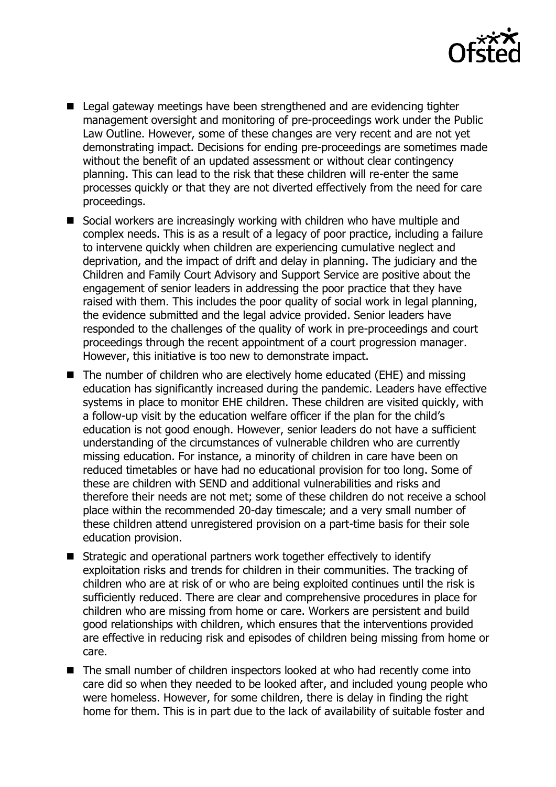

- Legal gateway meetings have been strengthened and are evidencing tighter management oversight and monitoring of pre-proceedings work under the Public Law Outline. However, some of these changes are very recent and are not yet demonstrating impact. Decisions for ending pre-proceedings are sometimes made without the benefit of an updated assessment or without clear contingency planning. This can lead to the risk that these children will re-enter the same processes quickly or that they are not diverted effectively from the need for care proceedings.
- Social workers are increasingly working with children who have multiple and complex needs. This is as a result of a legacy of poor practice, including a failure to intervene quickly when children are experiencing cumulative neglect and deprivation, and the impact of drift and delay in planning. The judiciary and the Children and Family Court Advisory and Support Service are positive about the engagement of senior leaders in addressing the poor practice that they have raised with them. This includes the poor quality of social work in legal planning, the evidence submitted and the legal advice provided. Senior leaders have responded to the challenges of the quality of work in pre-proceedings and court proceedings through the recent appointment of a court progression manager. However, this initiative is too new to demonstrate impact.
- The number of children who are electively home educated (EHE) and missing education has significantly increased during the pandemic. Leaders have effective systems in place to monitor EHE children. These children are visited quickly, with a follow-up visit by the education welfare officer if the plan for the child's education is not good enough. However, senior leaders do not have a sufficient understanding of the circumstances of vulnerable children who are currently missing education. For instance, a minority of children in care have been on reduced timetables or have had no educational provision for too long. Some of these are children with SEND and additional vulnerabilities and risks and therefore their needs are not met; some of these children do not receive a school place within the recommended 20-day timescale; and a very small number of these children attend unregistered provision on a part-time basis for their sole education provision.
- Strategic and operational partners work together effectively to identify exploitation risks and trends for children in their communities. The tracking of children who are at risk of or who are being exploited continues until the risk is sufficiently reduced. There are clear and comprehensive procedures in place for children who are missing from home or care. Workers are persistent and build good relationships with children, which ensures that the interventions provided are effective in reducing risk and episodes of children being missing from home or care.
- The small number of children inspectors looked at who had recently come into care did so when they needed to be looked after, and included young people who were homeless. However, for some children, there is delay in finding the right home for them. This is in part due to the lack of availability of suitable foster and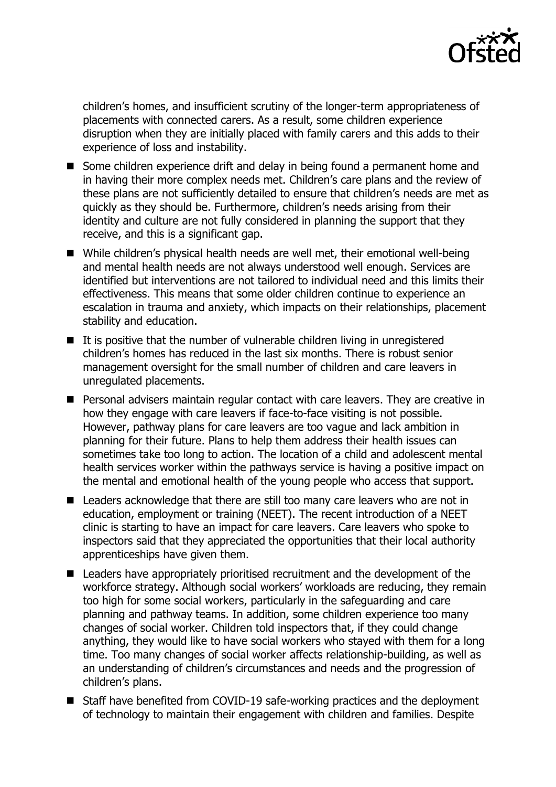

children's homes, and insufficient scrutiny of the longer-term appropriateness of placements with connected carers. As a result, some children experience disruption when they are initially placed with family carers and this adds to their experience of loss and instability.

- Some children experience drift and delay in being found a permanent home and in having their more complex needs met. Children's care plans and the review of these plans are not sufficiently detailed to ensure that children's needs are met as quickly as they should be. Furthermore, children's needs arising from their identity and culture are not fully considered in planning the support that they receive, and this is a significant gap.
- While children's physical health needs are well met, their emotional well-being and mental health needs are not always understood well enough. Services are identified but interventions are not tailored to individual need and this limits their effectiveness. This means that some older children continue to experience an escalation in trauma and anxiety, which impacts on their relationships, placement stability and education.
- It is positive that the number of vulnerable children living in unregistered children's homes has reduced in the last six months. There is robust senior management oversight for the small number of children and care leavers in unregulated placements.
- Personal advisers maintain regular contact with care leavers. They are creative in how they engage with care leavers if face-to-face visiting is not possible. However, pathway plans for care leavers are too vague and lack ambition in planning for their future. Plans to help them address their health issues can sometimes take too long to action. The location of a child and adolescent mental health services worker within the pathways service is having a positive impact on the mental and emotional health of the young people who access that support.
- Leaders acknowledge that there are still too many care leavers who are not in education, employment or training (NEET). The recent introduction of a NEET clinic is starting to have an impact for care leavers. Care leavers who spoke to inspectors said that they appreciated the opportunities that their local authority apprenticeships have given them.
- Leaders have appropriately prioritised recruitment and the development of the workforce strategy. Although social workers' workloads are reducing, they remain too high for some social workers, particularly in the safeguarding and care planning and pathway teams. In addition, some children experience too many changes of social worker. Children told inspectors that, if they could change anything, they would like to have social workers who stayed with them for a long time. Too many changes of social worker affects relationship-building, as well as an understanding of children's circumstances and needs and the progression of children's plans.
- Staff have benefited from COVID-19 safe-working practices and the deployment of technology to maintain their engagement with children and families. Despite